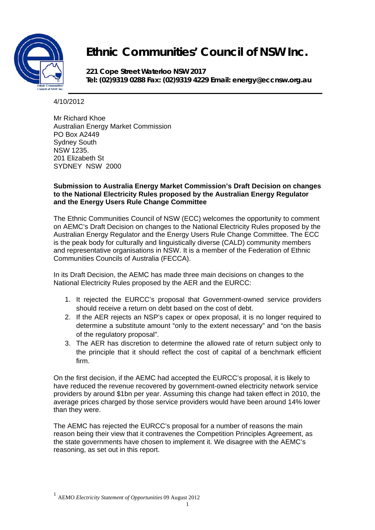

## **Ethnic Communities' Council of NSW Inc.**

**221 Cope Street Waterloo NSW 2017 Tel: (02)9319 0288 Fax: (02)9319 4229 Email: energy@eccnsw.org.au** 

4/10/2012

Mr Richard Khoe Australian Energy Market Commission PO Box A2449 Sydney South NSW 1235. 201 Elizabeth St SYDNEY NSW 2000

## **Submission to Australia Energy Market Commission's Draft Decision on changes to the National Electricity Rules proposed by the Australian Energy Regulator and the Energy Users Rule Change Committee**

The Ethnic Communities Council of NSW (ECC) welcomes the opportunity to comment on AEMC's Draft Decision on changes to the National Electricity Rules proposed by the Australian Energy Regulator and the Energy Users Rule Change Committee. The ECC is the peak body for culturally and linguistically diverse (CALD) community members and representative organisations in NSW. It is a member of the Federation of Ethnic Communities Councils of Australia (FECCA).

In its Draft Decision, the AEMC has made three main decisions on changes to the National Electricity Rules proposed by the AER and the EURCC:

- 1. It rejected the EURCC's proposal that Government-owned service providers should receive a return on debt based on the cost of debt.
- 2. If the AER rejects an NSP's capex or opex proposal, it is no longer required to determine a substitute amount "only to the extent necessary" and "on the basis of the regulatory proposal".
- 3. The AER has discretion to determine the allowed rate of return subject only to the principle that it should reflect the cost of capital of a benchmark efficient firm.

On the first decision, if the AEMC had accepted the EURCC's proposal, it is likely to have reduced the revenue recovered by government-owned electricity network service providers by around \$1bn per year. Assuming this change had taken effect in 2010, the average prices charged by those service providers would have been around 14% lower than they were.

The AEMC has rejected the EURCC's proposal for a number of reasons the main reason being their view that it contravenes the Competition Principles Agreement, as the state governments have chosen to implement it. We disagree with the AEMC's reasoning, as set out in this report.

<sup>1</sup> AEMO *Electricity Statement of Opportunities* 09 August 2012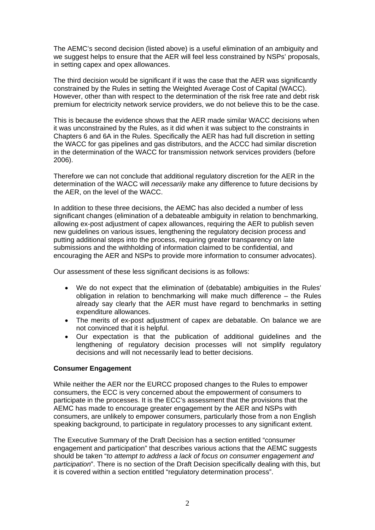The AEMC's second decision (listed above) is a useful elimination of an ambiguity and we suggest helps to ensure that the AER will feel less constrained by NSPs' proposals, in setting capex and opex allowances.

The third decision would be significant if it was the case that the AER was significantly constrained by the Rules in setting the Weighted Average Cost of Capital (WACC). However, other than with respect to the determination of the risk free rate and debt risk premium for electricity network service providers, we do not believe this to be the case.

This is because the evidence shows that the AER made similar WACC decisions when it was unconstrained by the Rules, as it did when it was subject to the constraints in Chapters 6 and 6A in the Rules. Specifically the AER has had full discretion in setting the WACC for gas pipelines and gas distributors, and the ACCC had similar discretion in the determination of the WACC for transmission network services providers (before 2006).

Therefore we can not conclude that additional regulatory discretion for the AER in the determination of the WACC will *necessarily* make any difference to future decisions by the AER, on the level of the WACC.

In addition to these three decisions, the AEMC has also decided a number of less significant changes (elimination of a debateable ambiguity in relation to benchmarking, allowing ex-post adjustment of capex allowances, requiring the AER to publish seven new guidelines on various issues, lengthening the regulatory decision process and putting additional steps into the process, requiring greater transparency on late submissions and the withholding of information claimed to be confidential, and encouraging the AER and NSPs to provide more information to consumer advocates).

Our assessment of these less significant decisions is as follows:

- We do not expect that the elimination of (debatable) ambiguities in the Rules' obligation in relation to benchmarking will make much difference – the Rules already say clearly that the AER must have regard to benchmarks in setting expenditure allowances.
- The merits of ex-post adjustment of capex are debatable. On balance we are not convinced that it is helpful.
- Our expectation is that the publication of additional guidelines and the lengthening of regulatory decision processes will not simplify regulatory decisions and will not necessarily lead to better decisions.

## **Consumer Engagement**

While neither the AER nor the EURCC proposed changes to the Rules to empower consumers, the ECC is very concerned about the empowerment of consumers to participate in the processes. It is the ECC's assessment that the provisions that the AEMC has made to encourage greater engagement by the AER and NSPs with consumers, are unlikely to empower consumers, particularly those from a non English speaking background, to participate in regulatory processes to any significant extent.

The Executive Summary of the Draft Decision has a section entitled "consumer engagement and participation" that describes various actions that the AEMC suggests should be taken "*to attempt to address a lack of focus on consumer engagement and participation*". There is no section of the Draft Decision specifically dealing with this, but it is covered within a section entitled "regulatory determination process".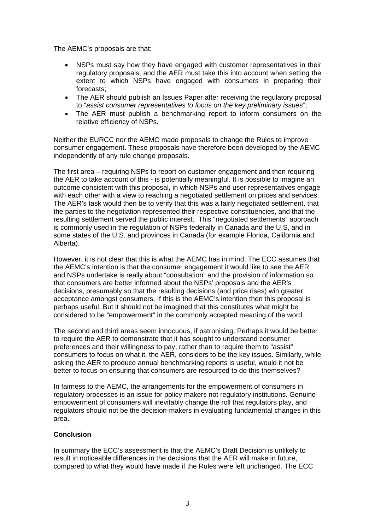The AEMC's proposals are that:

- NSPs must say how they have engaged with customer representatives in their regulatory proposals, and the AER must take this into account when setting the extent to which NSPs have engaged with consumers in preparing their forecasts;
- The AER should publish an Issues Paper after receiving the regulatory proposal to "*assist consumer representatives to focus on the key preliminary issues*";
- The AER must publish a benchmarking report to inform consumers on the relative efficiency of NSPs.

Neither the EURCC nor the AEMC made proposals to change the Rules to improve consumer engagement. These proposals have therefore been developed by the AEMC independently of any rule change proposals.

The first area – requiring NSPs to report on customer engagement and then requiring the AER to take account of this - is potentially meaningful. It is possible to imagine an outcome consistent with this proposal, in which NSPs and user representatives engage with each other with a view to reaching a negotiated settlement on prices and services. The AER's task would then be to verify that this was a fairly negotiated settlement, that the parties to the negotiation represented their respective constituencies, and that the resulting settlement served the public interest. This "negotiated settlements" approach is commonly used in the regulation of NSPs federally in Canada and the U.S, and in some states of the U.S. and provinces in Canada (for example Florida, California and Alberta).

However, it is not clear that this is what the AEMC has in mind. The ECC assumes that the AEMC's intention is that the consumer engagement it would like to see the AER and NSPs undertake is really about "consultation" and the provision of information so that consumers are better informed about the NSPs' proposals and the AER's decisions, presumably so that the resulting decisions (and price rises) win greater acceptance amongst consumers. If this is the AEMC's intention then this proposal is perhaps useful. But it should not be imagined that this constitutes what might be considered to be "empowerment" in the commonly accepted meaning of the word.

The second and third areas seem innocuous, if patronising. Perhaps it would be better to require the AER to demonstrate that it has sought to understand consumer preferences and their willingness to pay, rather than to require them to "assist" consumers to focus on what it, the AER, considers to be the key issues. Similarly, while asking the AER to produce annual benchmarking reports is useful, would it not be better to focus on ensuring that consumers are resourced to do this themselves?

In fairness to the AEMC, the arrangements for the empowerment of consumers in regulatory processes is an issue for policy makers not regulatory institutions. Genuine empowerment of consumers will inevitably change the roll that regulators play, and regulators should not be the decision-makers in evaluating fundamental changes in this area.

## **Conclusion**

In summary the ECC's assessment is that the AEMC's Draft Decision is unlikely to result in noticeable differences in the decisions that the AER will make in future, compared to what they would have made if the Rules were left unchanged. The ECC